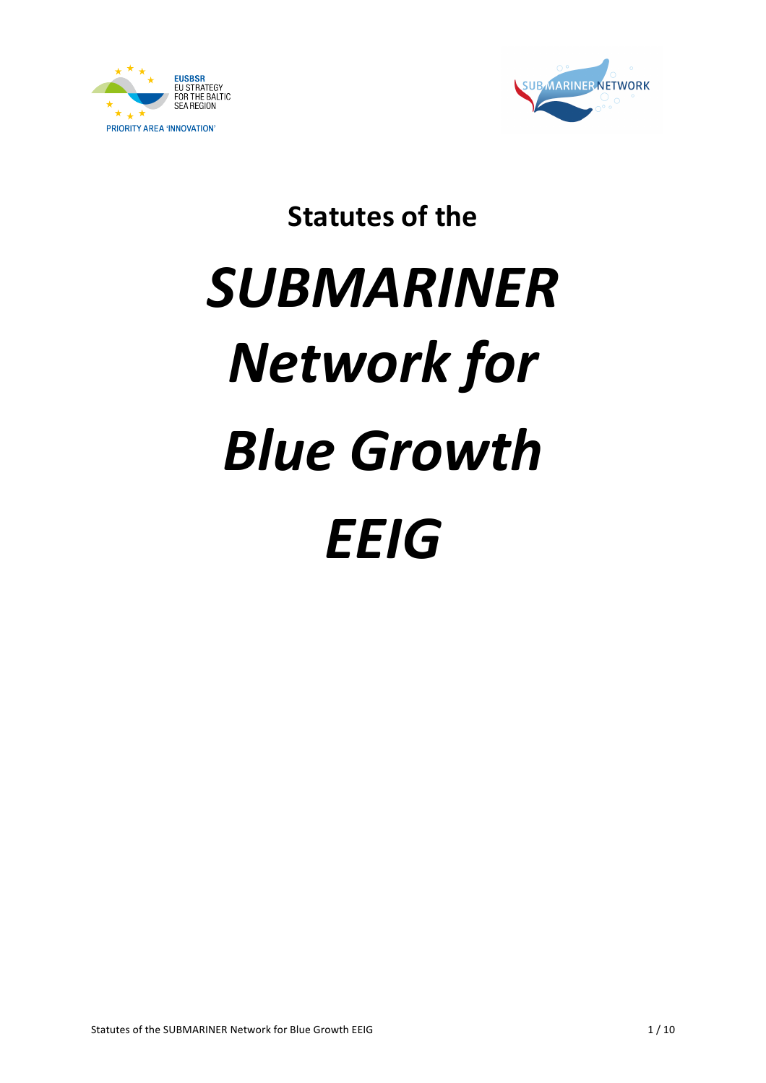



**Statutes of the** 

# *SUBMARINER Network for Blue Growth EEIG*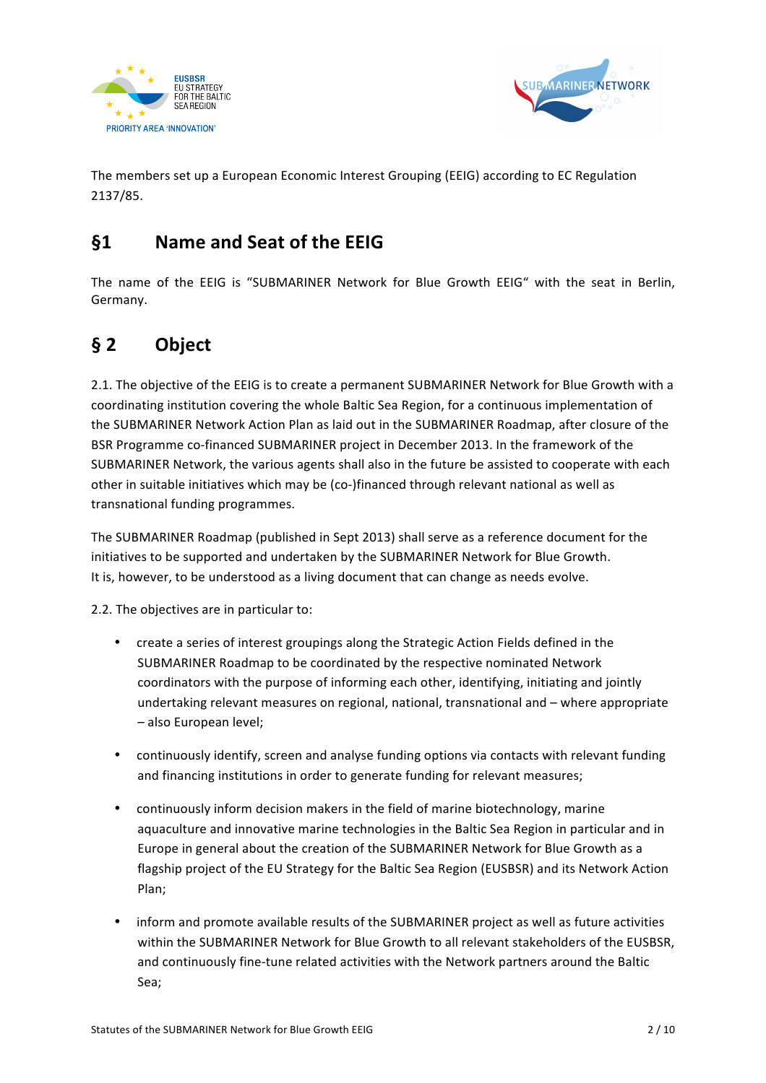



The members set up a European Economic Interest Grouping (EEIG) according to EC Regulation 2137/85.

## **§1 Name and Seat of the EEIG**

The name of the EEIG is "SUBMARINER Network for Blue Growth EEIG" with the seat in Berlin, Germany.

# **§ 2 Object**

2.1. The objective of the EEIG is to create a permanent SUBMARINER Network for Blue Growth with a coordinating institution covering the whole Baltic Sea Region, for a continuous implementation of the SUBMARINER Network Action Plan as laid out in the SUBMARINER Roadmap, after closure of the BSR Programme co-financed SUBMARINER project in December 2013. In the framework of the SUBMARINER Network, the various agents shall also in the future be assisted to cooperate with each other in suitable initiatives which may be (co-)financed through relevant national as well as transnational funding programmes.

The SUBMARINER Roadmap (published in Sept 2013) shall serve as a reference document for the initiatives to be supported and undertaken by the SUBMARINER Network for Blue Growth. It is, however, to be understood as a living document that can change as needs evolve.

2.2. The objectives are in particular to:

- create a series of interest groupings along the Strategic Action Fields defined in the SUBMARINER Roadmap to be coordinated by the respective nominated Network coordinators with the purpose of informing each other, identifying, initiating and jointly undertaking relevant measures on regional, national, transnational and – where appropriate – also European level;
- continuously identify, screen and analyse funding options via contacts with relevant funding and financing institutions in order to generate funding for relevant measures;
- continuously inform decision makers in the field of marine biotechnology, marine aquaculture and innovative marine technologies in the Baltic Sea Region in particular and in Europe in general about the creation of the SUBMARINER Network for Blue Growth as a flagship project of the EU Strategy for the Baltic Sea Region (EUSBSR) and its Network Action Plan;
- inform and promote available results of the SUBMARINER project as well as future activities within the SUBMARINER Network for Blue Growth to all relevant stakeholders of the EUSBSR, and continuously fine-tune related activities with the Network partners around the Baltic Sea;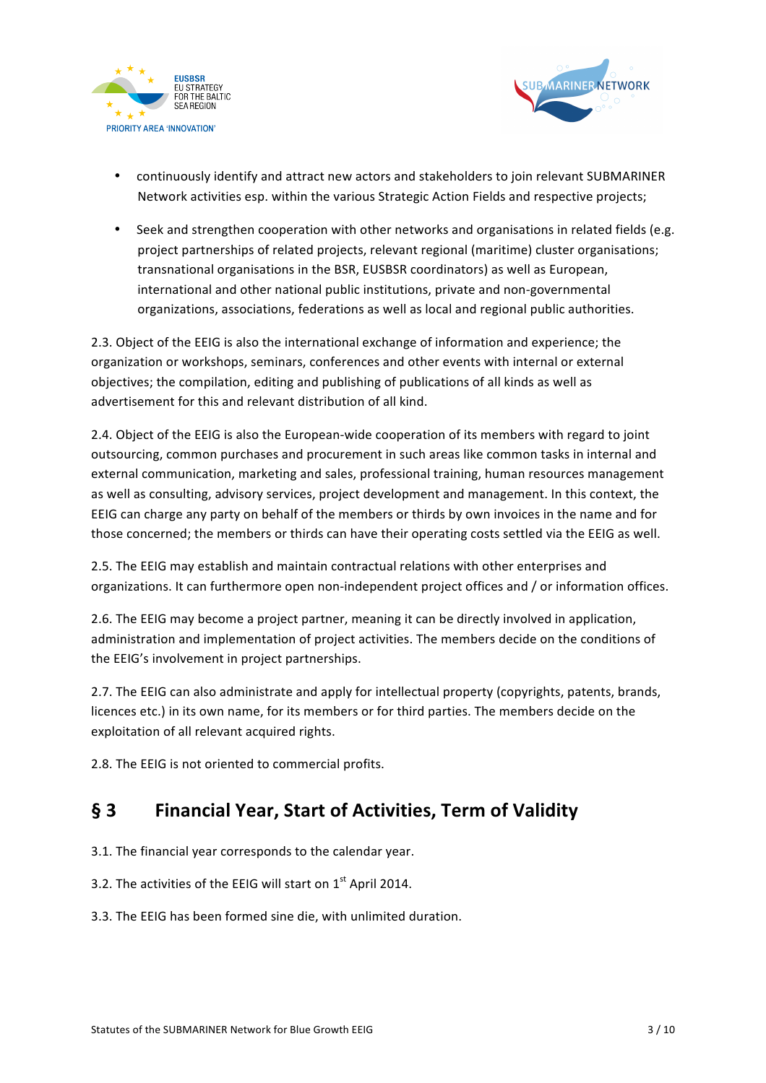



- continuously identify and attract new actors and stakeholders to join relevant SUBMARINER Network activities esp. within the various Strategic Action Fields and respective projects;
- Seek and strengthen cooperation with other networks and organisations in related fields (e.g. project partnerships of related projects, relevant regional (maritime) cluster organisations; transnational organisations in the BSR, EUSBSR coordinators) as well as European, international and other national public institutions, private and non-governmental organizations, associations, federations as well as local and regional public authorities.

2.3. Object of the EEIG is also the international exchange of information and experience; the organization or workshops, seminars, conferences and other events with internal or external objectives; the compilation, editing and publishing of publications of all kinds as well as advertisement for this and relevant distribution of all kind.

2.4. Object of the EEIG is also the European-wide cooperation of its members with regard to joint outsourcing, common purchases and procurement in such areas like common tasks in internal and external communication, marketing and sales, professional training, human resources management as well as consulting, advisory services, project development and management. In this context, the EEIG can charge any party on behalf of the members or thirds by own invoices in the name and for those concerned; the members or thirds can have their operating costs settled via the EEIG as well.

2.5. The EEIG may establish and maintain contractual relations with other enterprises and organizations. It can furthermore open non-independent project offices and / or information offices.

2.6. The EEIG may become a project partner, meaning it can be directly involved in application, administration and implementation of project activities. The members decide on the conditions of the EEIG's involvement in project partnerships.

2.7. The EEIG can also administrate and apply for intellectual property (copyrights, patents, brands, licences etc.) in its own name, for its members or for third parties. The members decide on the exploitation of all relevant acquired rights.

2.8. The EEIG is not oriented to commercial profits.

### **§ 3 Financial Year, Start of Activities, Term of Validity**

- 3.1. The financial year corresponds to the calendar year.
- 3.2. The activities of the EEIG will start on  $1<sup>st</sup>$  April 2014.
- 3.3. The EEIG has been formed sine die, with unlimited duration.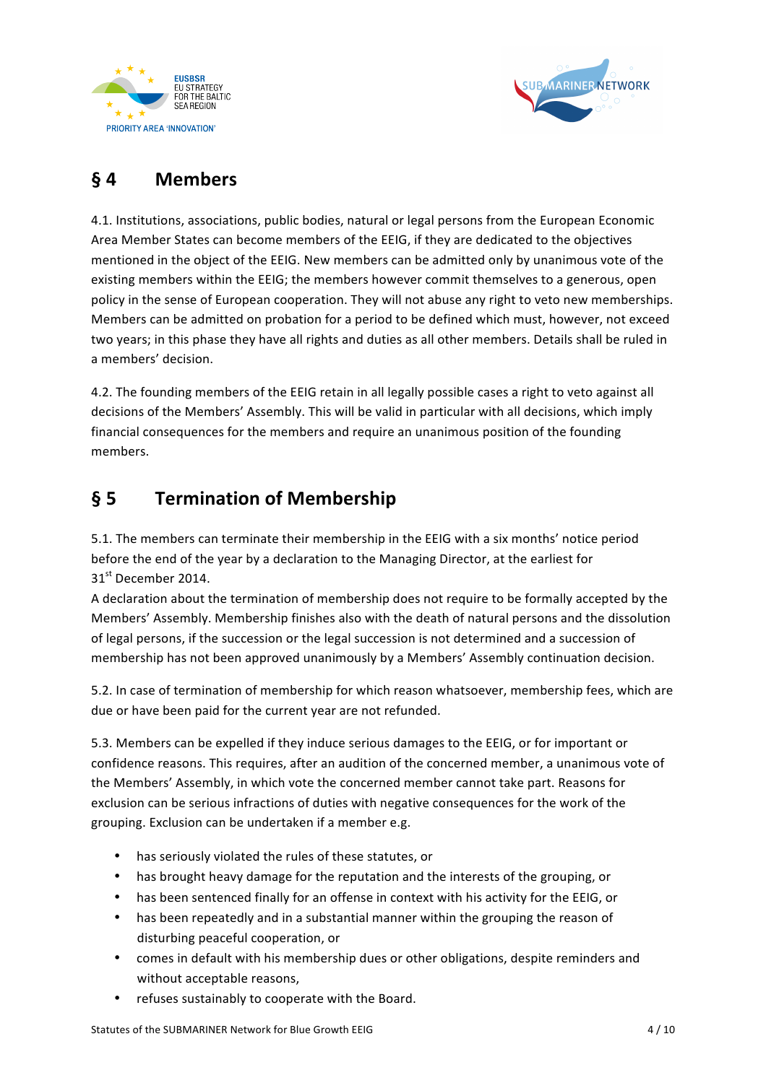



# **§ 4 Members**

4.1. Institutions, associations, public bodies, natural or legal persons from the European Economic Area Member States can become members of the EEIG, if they are dedicated to the objectives mentioned in the object of the EEIG. New members can be admitted only by unanimous vote of the existing members within the EEIG; the members however commit themselves to a generous, open policy in the sense of European cooperation. They will not abuse any right to veto new memberships. Members can be admitted on probation for a period to be defined which must, however, not exceed two years; in this phase they have all rights and duties as all other members. Details shall be ruled in a members' decision.

4.2. The founding members of the EEIG retain in all legally possible cases a right to veto against all decisions of the Members' Assembly. This will be valid in particular with all decisions, which imply financial consequences for the members and require an unanimous position of the founding members. 

# § 5 **Termination of Membership**

5.1. The members can terminate their membership in the EEIG with a six months' notice period before the end of the year by a declaration to the Managing Director, at the earliest for 31st December 2014.

A declaration about the termination of membership does not require to be formally accepted by the Members' Assembly. Membership finishes also with the death of natural persons and the dissolution of legal persons, if the succession or the legal succession is not determined and a succession of membership has not been approved unanimously by a Members' Assembly continuation decision.

5.2. In case of termination of membership for which reason whatsoever, membership fees, which are due or have been paid for the current year are not refunded.

5.3. Members can be expelled if they induce serious damages to the EEIG, or for important or confidence reasons. This requires, after an audition of the concerned member, a unanimous vote of the Members' Assembly, in which vote the concerned member cannot take part. Reasons for exclusion can be serious infractions of duties with negative consequences for the work of the grouping. Exclusion can be undertaken if a member e.g.

- has seriously violated the rules of these statutes, or
- has brought heavy damage for the reputation and the interests of the grouping, or
- has been sentenced finally for an offense in context with his activity for the EEIG, or
- has been repeatedly and in a substantial manner within the grouping the reason of disturbing peaceful cooperation, or
- comes in default with his membership dues or other obligations, despite reminders and without acceptable reasons.
- refuses sustainably to cooperate with the Board.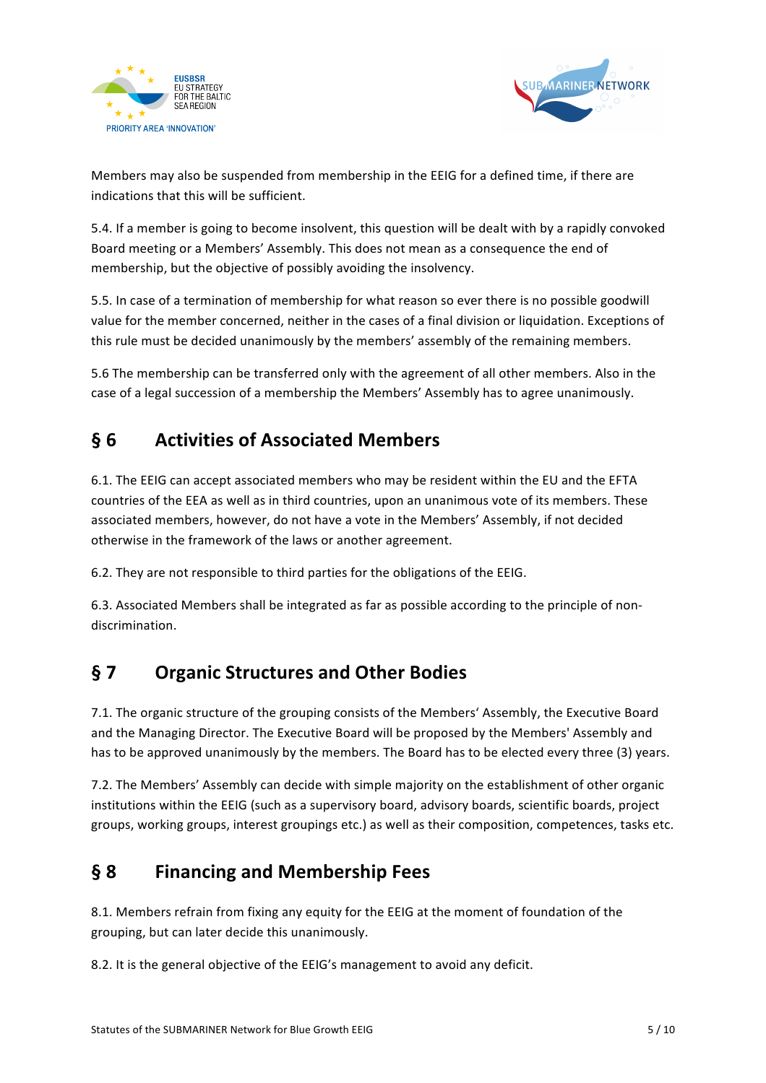



Members may also be suspended from membership in the EEIG for a defined time, if there are indications that this will be sufficient.

5.4. If a member is going to become insolvent, this question will be dealt with by a rapidly convoked Board meeting or a Members' Assembly. This does not mean as a consequence the end of membership, but the objective of possibly avoiding the insolvency.

5.5. In case of a termination of membership for what reason so ever there is no possible goodwill value for the member concerned, neither in the cases of a final division or liquidation. Exceptions of this rule must be decided unanimously by the members' assembly of the remaining members.

5.6 The membership can be transferred only with the agreement of all other members. Also in the case of a legal succession of a membership the Members' Assembly has to agree unanimously.

# **§ 6 Activities of Associated Members**

6.1. The EEIG can accept associated members who may be resident within the EU and the EFTA countries of the EEA as well as in third countries, upon an unanimous vote of its members. These associated members, however, do not have a vote in the Members' Assembly, if not decided otherwise in the framework of the laws or another agreement.

6.2. They are not responsible to third parties for the obligations of the EEIG.

6.3. Associated Members shall be integrated as far as possible according to the principle of nondiscrimination.

# § 7 Organic Structures and Other Bodies

7.1. The organic structure of the grouping consists of the Members' Assembly, the Executive Board and the Managing Director. The Executive Board will be proposed by the Members' Assembly and has to be approved unanimously by the members. The Board has to be elected every three (3) years.

7.2. The Members' Assembly can decide with simple majority on the establishment of other organic institutions within the EEIG (such as a supervisory board, advisory boards, scientific boards, project groups, working groups, interest groupings etc.) as well as their composition, competences, tasks etc.

# **§ 8 Financing and Membership Fees**

8.1. Members refrain from fixing any equity for the EEIG at the moment of foundation of the grouping, but can later decide this unanimously.

8.2. It is the general objective of the EEIG's management to avoid any deficit.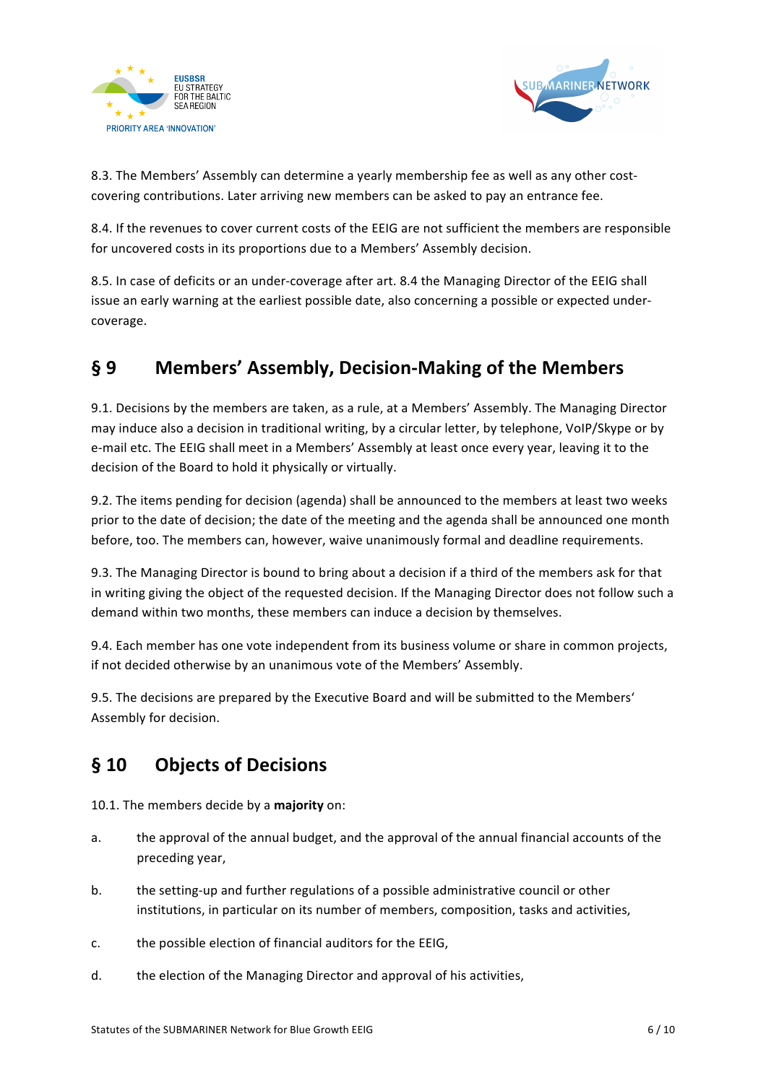



8.3. The Members' Assembly can determine a yearly membership fee as well as any other costcovering contributions. Later arriving new members can be asked to pay an entrance fee.

8.4. If the revenues to cover current costs of the EEIG are not sufficient the members are responsible for uncovered costs in its proportions due to a Members' Assembly decision.

8.5. In case of deficits or an under-coverage after art. 8.4 the Managing Director of the EEIG shall issue an early warning at the earliest possible date, also concerning a possible or expected undercoverage.

# § 9 Members' Assembly, Decision-Making of the Members

9.1. Decisions by the members are taken, as a rule, at a Members' Assembly. The Managing Director may induce also a decision in traditional writing, by a circular letter, by telephone, VoIP/Skype or by e-mail etc. The EEIG shall meet in a Members' Assembly at least once every year, leaving it to the decision of the Board to hold it physically or virtually.

9.2. The items pending for decision (agenda) shall be announced to the members at least two weeks prior to the date of decision; the date of the meeting and the agenda shall be announced one month before, too. The members can, however, waive unanimously formal and deadline requirements.

9.3. The Managing Director is bound to bring about a decision if a third of the members ask for that in writing giving the object of the requested decision. If the Managing Director does not follow such a demand within two months, these members can induce a decision by themselves.

9.4. Each member has one vote independent from its business volume or share in common projects, if not decided otherwise by an unanimous vote of the Members' Assembly.

9.5. The decisions are prepared by the Executive Board and will be submitted to the Members' Assembly for decision.

# **§ 10 Objects of Decisions**

10.1. The members decide by a majority on:

- a. the approval of the annual budget, and the approval of the annual financial accounts of the preceding year,
- b. the setting-up and further regulations of a possible administrative council or other institutions, in particular on its number of members, composition, tasks and activities,
- c. the possible election of financial auditors for the EEIG,
- d. the election of the Managing Director and approval of his activities,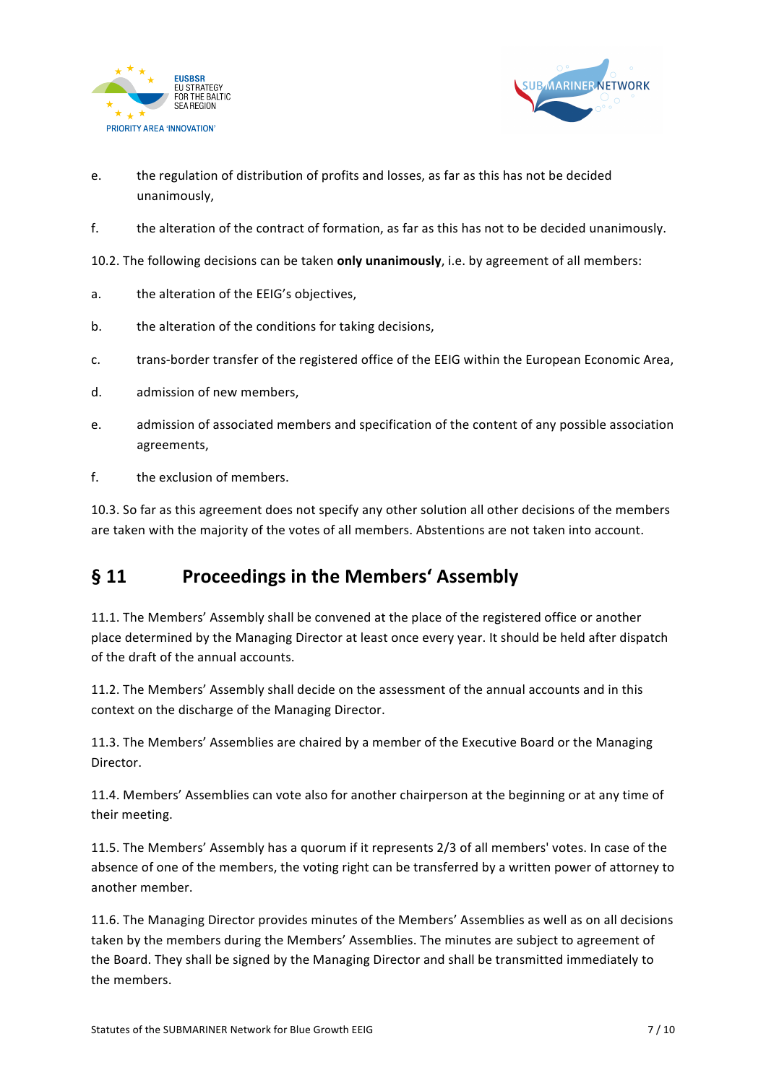



- e. the regulation of distribution of profits and losses, as far as this has not be decided unanimously,
- f. the alteration of the contract of formation, as far as this has not to be decided unanimously.

10.2. The following decisions can be taken **only unanimously**, i.e. by agreement of all members:

- a. the alteration of the EEIG's objectives,
- b. the alteration of the conditions for taking decisions,
- c. trans-border transfer of the registered office of the EEIG within the European Economic Area,
- d. admission of new members.
- e. admission of associated members and specification of the content of any possible association agreements,
- f. the exclusion of members.

10.3. So far as this agreement does not specify any other solution all other decisions of the members are taken with the majority of the votes of all members. Abstentions are not taken into account.

#### § 11 **Proceedings in the Members' Assembly**

11.1. The Members' Assembly shall be convened at the place of the registered office or another place determined by the Managing Director at least once every year. It should be held after dispatch of the draft of the annual accounts.

11.2. The Members' Assembly shall decide on the assessment of the annual accounts and in this context on the discharge of the Managing Director.

11.3. The Members' Assemblies are chaired by a member of the Executive Board or the Managing Director.

11.4. Members' Assemblies can vote also for another chairperson at the beginning or at any time of their meeting.

11.5. The Members' Assembly has a quorum if it represents 2/3 of all members' votes. In case of the absence of one of the members, the voting right can be transferred by a written power of attorney to another member.

11.6. The Managing Director provides minutes of the Members' Assemblies as well as on all decisions taken by the members during the Members' Assemblies. The minutes are subject to agreement of the Board. They shall be signed by the Managing Director and shall be transmitted immediately to the members.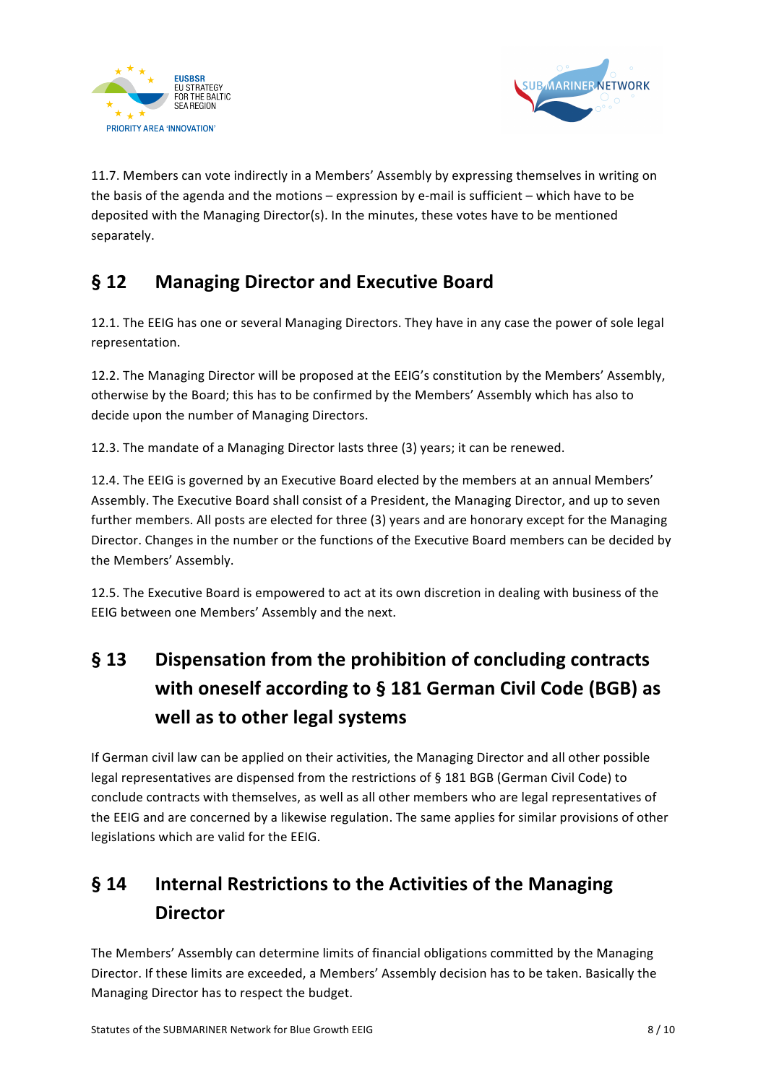



11.7. Members can vote indirectly in a Members' Assembly by expressing themselves in writing on the basis of the agenda and the motions – expression by e-mail is sufficient – which have to be deposited with the Managing Director(s). In the minutes, these votes have to be mentioned separately. 

# **§ 12 Managing Director and Executive Board**

12.1. The EEIG has one or several Managing Directors. They have in any case the power of sole legal representation.

12.2. The Managing Director will be proposed at the EEIG's constitution by the Members' Assembly, otherwise by the Board; this has to be confirmed by the Members' Assembly which has also to decide upon the number of Managing Directors.

12.3. The mandate of a Managing Director lasts three (3) years; it can be renewed.

12.4. The EEIG is governed by an Executive Board elected by the members at an annual Members' Assembly. The Executive Board shall consist of a President, the Managing Director, and up to seven further members. All posts are elected for three (3) years and are honorary except for the Managing Director. Changes in the number or the functions of the Executive Board members can be decided by the Members' Assembly.

12.5. The Executive Board is empowered to act at its own discretion in dealing with business of the EEIG between one Members' Assembly and the next.

# § 13 Dispensation from the prohibition of concluding contracts with oneself according to § 181 German Civil Code (BGB) as well as to other legal systems

If German civil law can be applied on their activities, the Managing Director and all other possible legal representatives are dispensed from the restrictions of § 181 BGB (German Civil Code) to conclude contracts with themselves, as well as all other members who are legal representatives of the EEIG and are concerned by a likewise regulation. The same applies for similar provisions of other legislations which are valid for the EEIG.

# § 14 Internal Restrictions to the Activities of the Managing **Director**

The Members' Assembly can determine limits of financial obligations committed by the Managing Director. If these limits are exceeded, a Members' Assembly decision has to be taken. Basically the Managing Director has to respect the budget.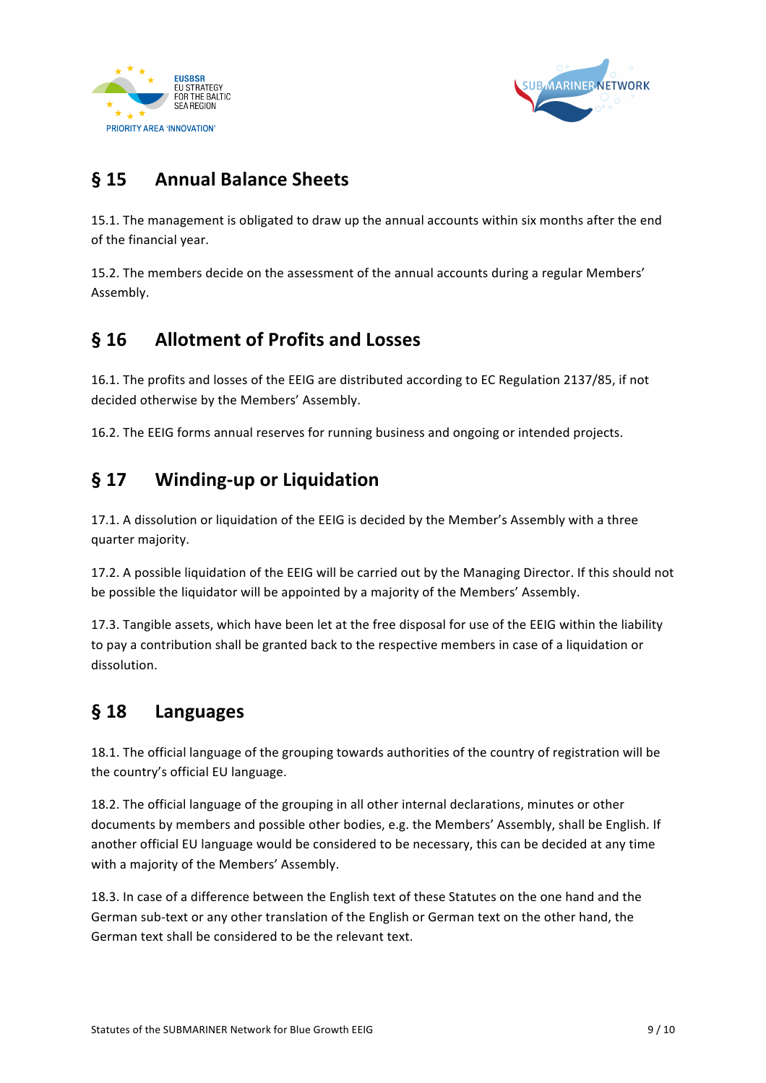



# **§ 15 Annual Balance Sheets**

15.1. The management is obligated to draw up the annual accounts within six months after the end of the financial year.

15.2. The members decide on the assessment of the annual accounts during a regular Members' Assembly.

## **§ 16 Allotment of Profits and Losses**

16.1. The profits and losses of the EEIG are distributed according to EC Regulation 2137/85, if not decided otherwise by the Members' Assembly.

16.2. The EEIG forms annual reserves for running business and ongoing or intended projects.

## § 17 Winding-up or Liquidation

17.1. A dissolution or liquidation of the EEIG is decided by the Member's Assembly with a three quarter majority.

17.2. A possible liquidation of the EEIG will be carried out by the Managing Director. If this should not be possible the liquidator will be appointed by a majority of the Members' Assembly.

17.3. Tangible assets, which have been let at the free disposal for use of the EEIG within the liability to pay a contribution shall be granted back to the respective members in case of a liquidation or dissolution.

#### **§ 18 Languages**

18.1. The official language of the grouping towards authorities of the country of registration will be the country's official EU language.

18.2. The official language of the grouping in all other internal declarations, minutes or other documents by members and possible other bodies, e.g. the Members' Assembly, shall be English. If another official EU language would be considered to be necessary, this can be decided at any time with a majority of the Members' Assembly.

18.3. In case of a difference between the English text of these Statutes on the one hand and the German sub-text or any other translation of the English or German text on the other hand, the German text shall be considered to be the relevant text.